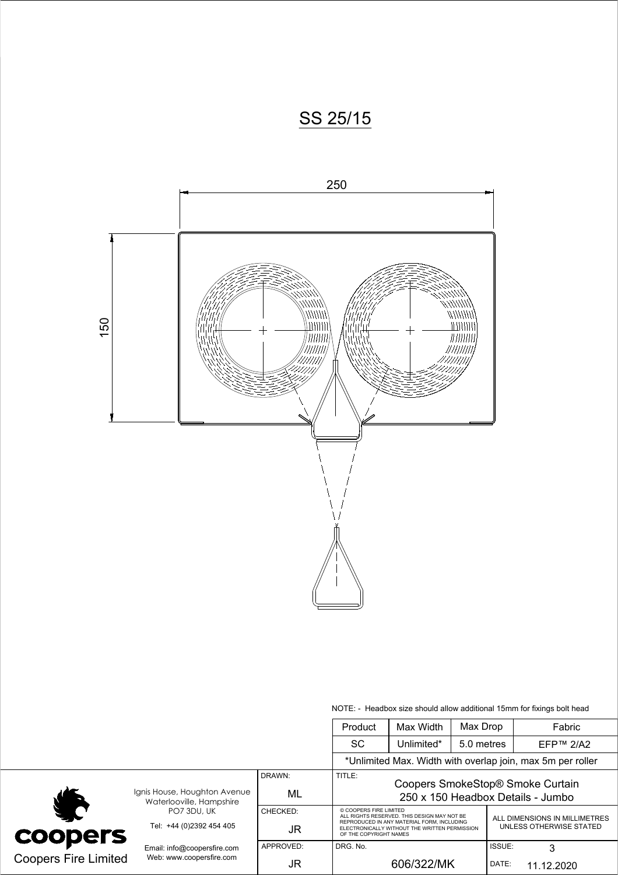



NOTE: - Headbox size should allow additional 15mm for fixings bolt head

|                             |                                                                         |              | Product                                                                                                             | Max Width  | Max Drop   |                               | Fabric                                                     |  |
|-----------------------------|-------------------------------------------------------------------------|--------------|---------------------------------------------------------------------------------------------------------------------|------------|------------|-------------------------------|------------------------------------------------------------|--|
|                             |                                                                         |              | SC.                                                                                                                 | Unlimited* | 5.0 metres |                               | EFP™ 2/A2                                                  |  |
|                             |                                                                         |              |                                                                                                                     |            |            |                               | *Unlimited Max. Width with overlap join, max 5m per roller |  |
|                             | Ignis House, Houghton Avenue<br>Waterlooville, Hampshire<br>PO7 3DU, UK | DRAWN:<br>ML | TITLE:<br>Coopers SmokeStop® Smoke Curtain<br>250 x 150 Headbox Details - Jumbo                                     |            |            |                               |                                                            |  |
| <b>JC</b>                   |                                                                         | CHECKED:     | © COOPERS FIRE LIMITED<br>ALL RIGHTS RESERVED. THIS DESIGN MAY NOT BE<br>REPRODUCED IN ANY MATERIAL FORM, INCLUDING |            |            | ALL DIMENSIONS IN MILLIMETRES |                                                            |  |
| <b>coopers</b>              | Tel: +44 (0)2392 454 405                                                | JR           | ELECTRONICALLY WITHOUT THE WRITTEN PERMISSION<br>OF THE COPYRIGHT NAMES                                             |            |            | UNLESS OTHERWISE STATED       |                                                            |  |
|                             | Email: info@coopersfire.com                                             | APPROVED:    | DRG. No.                                                                                                            |            |            | ISSUE:                        | 3                                                          |  |
| <b>Coopers Fire Limited</b> | Web: www.coopersfire.com                                                | JR           |                                                                                                                     | 606/322/MK |            | DATE:                         | 11.12.2020                                                 |  |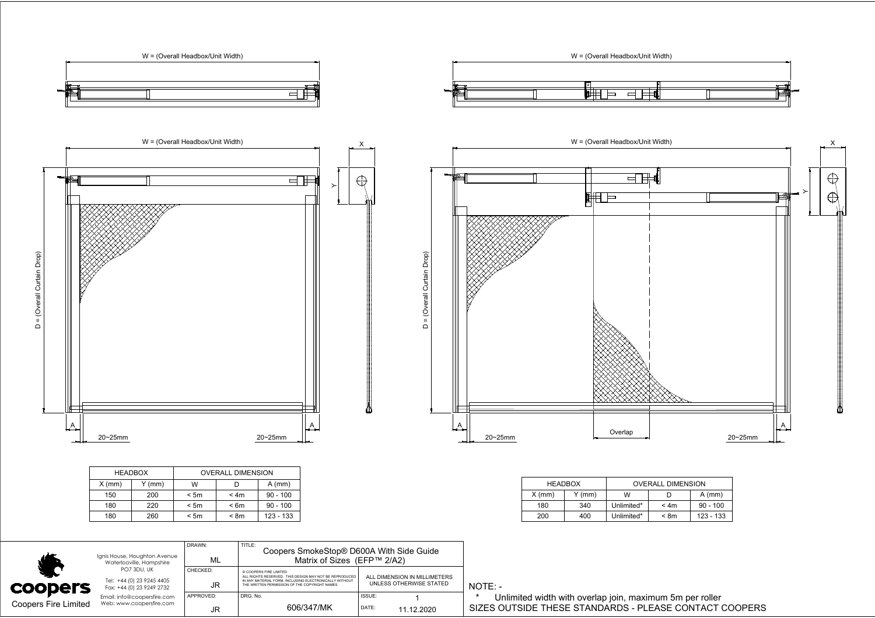

| <b>HEADBOX</b> |        | <b>OVERALL DIMENSION</b> |      |             |
|----------------|--------|--------------------------|------|-------------|
| (mm)           | Y (mm) | W                        |      | $A$ (mm)    |
| 150            | 200    | < 5m                     | < 4m | $90 - 100$  |
| 180            | 220    | < 5m                     | < 6m | $90 - 100$  |
| 180            | 260    | < 5m                     | < 8m | $123 - 133$ |
|                |        |                          |      |             |

|          | <b>HEADBOX</b> | <b>OVERALL DIMENSION</b> |      |            |  |  |
|----------|----------------|--------------------------|------|------------|--|--|
| $X$ (mm) | Y (mm)         | W                        |      | $A$ (mm)   |  |  |
| 180      | 340            | Unlimited*               | < 4m | $90 - 100$ |  |  |
| 200      | 400            | Unlimited*               | < 8m | 123 - 133  |  |  |

|                             | 180<br>260                                                            | < 5m<br>< 8m    | 123 - 133                                                                                                                                                                                   |                                                         |         | <b>200</b>                                               | 400 | Unlimited* | < 8m | 123 - 133                                              |
|-----------------------------|-----------------------------------------------------------------------|-----------------|---------------------------------------------------------------------------------------------------------------------------------------------------------------------------------------------|---------------------------------------------------------|---------|----------------------------------------------------------|-----|------------|------|--------------------------------------------------------|
|                             |                                                                       |                 |                                                                                                                                                                                             |                                                         |         |                                                          |     |            |      |                                                        |
|                             | Ignis House, Houghton Avenue<br>Waterlooville, Hampshire              | DRAWN:<br>ML    | TITLE:<br>Coopers SmokeStop® D600A With Side Guide<br>Matrix of Sizes (EFP™ 2/A2)                                                                                                           |                                                         |         |                                                          |     |            |      |                                                        |
| <b>COODETS</b>              | PO7 3DU, UK<br>Tel: +44 (0) 23 9245 4405<br>Fax: +44 (0) 23 9249 2732 | CHECKED:<br>JR  | © COOPERS FIRE LIMITED<br>ALL RIGHTS RESERVED. THIS DESIGN MAY NOT BE REPRODUCEL<br>IN ANY MATERIAL FORM. INCLUDING ELECTRONICALLY WITHOUT<br>THE WRITTEN PERMISSION OF THE COPYRIGHT NAMES | ALL DIMENSION IN MILLIMETERS<br>UNLESS OTHERWISE STATED | NOTE: - |                                                          |     |            |      |                                                        |
| <b>Coopers Fire Limited</b> | Email: info@coopersfire.com<br>Web: www.coopersfire.com               | APPROVED:<br>JR | DRG, No.<br>606/347/MK                                                                                                                                                                      | ISSUE:<br>DATE:<br>11.12.2020                           |         | Unlimited width with overlap join, maximum 5m per roller |     |            |      | SIZES OUTSIDE THESE STANDARDS - PLEASE CONTACT COOPERS |

\* Unlimited width with overlap join, maximum 5m per roller